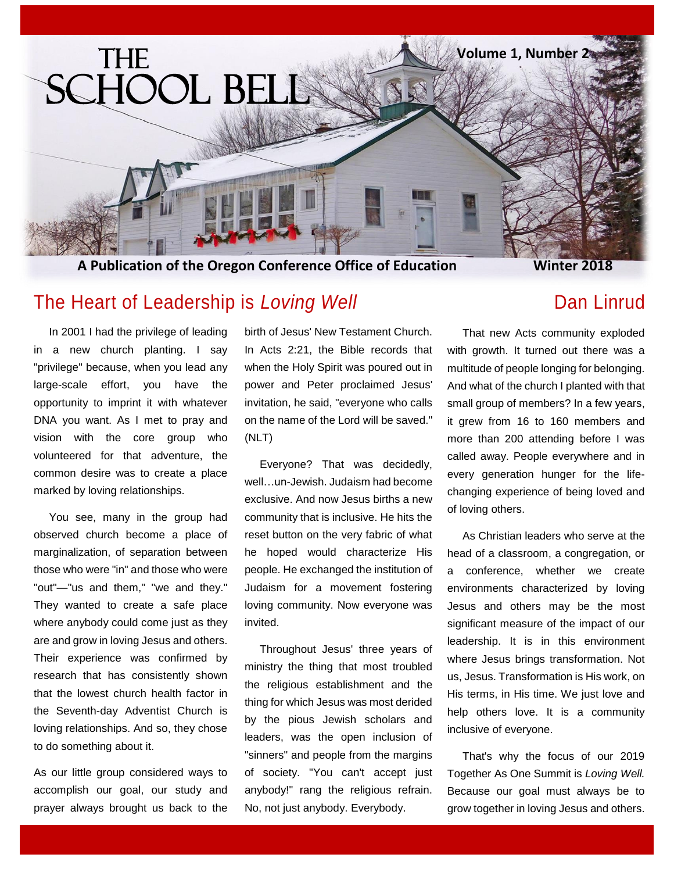

**A Publication of the Oregon Conference Office of Education**

## The Heart of Leadership is *Loving Well* **Easing Struth Connect Connect Panel Connect Panel Connect Panel Connect Panel Connect Panel Connect Panel Connect Panel Connect Panel Connect Panel Connect Panel Connect Panel Conn**

 In 2001 I had the privilege of leading in a new church planting. I say "privilege" because, when you lead any large-scale effort, you have the opportunity to imprint it with whatever DNA you want. As I met to pray and vision with the core group who volunteered for that adventure, the common desire was to create a place marked by loving relationships.

 You see, many in the group had observed church become a place of marginalization, of separation between those who were "in" and those who were "out"—"us and them," "we and they." They wanted to create a safe place where anybody could come just as they are and grow in loving Jesus and others. Their experience was confirmed by research that has consistently shown that the lowest church health factor in the Seventh-day Adventist Church is loving relationships. And so, they chose to do something about it.

As our little group considered ways to accomplish our goal, our study and prayer always brought us back to the birth of Jesus' New Testament Church. In Acts 2:21, the Bible records that when the Holy Spirit was poured out in power and Peter proclaimed Jesus' invitation, he said, "everyone who calls on the name of the Lord will be saved." (NLT)

 Everyone? That was decidedly, well…un-Jewish. Judaism had become exclusive. And now Jesus births a new community that is inclusive. He hits the reset button on the very fabric of what he hoped would characterize His people. He exchanged the institution of Judaism for a movement fostering loving community. Now everyone was invited.

 Throughout Jesus' three years of ministry the thing that most troubled the religious establishment and the thing for which Jesus was most derided by the pious Jewish scholars and leaders, was the open inclusion of "sinners" and people from the margins of society. "You can't accept just anybody!" rang the religious refrain. No, not just anybody. Everybody.

### **Winter 2018**

 That new Acts community exploded with growth. It turned out there was a multitude of people longing for belonging. And what of the church I planted with that small group of members? In a few years, it grew from 16 to 160 members and more than 200 attending before I was called away. People everywhere and in every generation hunger for the lifechanging experience of being loved and of loving others.

 As Christian leaders who serve at the head of a classroom, a congregation, or a conference, whether we create environments characterized by loving Jesus and others may be the most significant measure of the impact of our leadership. It is in this environment where Jesus brings transformation. Not us, Jesus. Transformation is His work, on His terms, in His time. We just love and help others love. It is a community inclusive of everyone.

 That's why the focus of our 2019 Together As One Summit is *Loving Well.* Because our goal must always be to grow together in loving Jesus and others.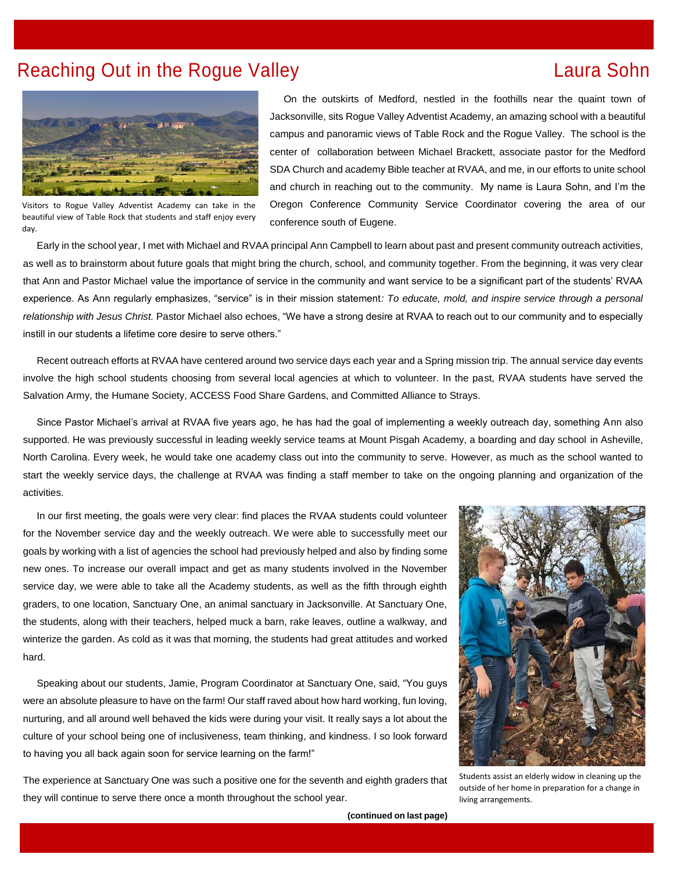## Reaching Out in the Rogue Valley **Laura Sohn**



Visitors to Rogue Valley Adventist Academy can take in the beautiful view of Table Rock that students and staff enjoy every day.

 On the outskirts of Medford, nestled in the foothills near the quaint town of Jacksonville, sits Rogue Valley Adventist Academy, an amazing school with a beautiful campus and panoramic views of Table Rock and the Rogue Valley. The school is the center of collaboration between Michael Brackett, associate pastor for the Medford SDA Church and academy Bible teacher at RVAA, and me, in our efforts to unite school and church in reaching out to the community. My name is Laura Sohn, and I'm the Oregon Conference Community Service Coordinator covering the area of our conference south of Eugene.

 Early in the school year, I met with Michael and RVAA principal Ann Campbell to learn about past and present community outreach activities, as well as to brainstorm about future goals that might bring the church, school, and community together. From the beginning, it was very clear that Ann and Pastor Michael value the importance of service in the community and want service to be a significant part of the students' RVAA experience. As Ann regularly emphasizes, "service" is in their mission statement*: To educate, mold, and inspire service through a personal relationship with Jesus Christ.* Pastor Michael also echoes, "We have a strong desire at RVAA to reach out to our community and to especially instill in our students a lifetime core desire to serve others."

 Recent outreach efforts at RVAA have centered around two service days each year and a Spring mission trip. The annual service day events involve the high school students choosing from several local agencies at which to volunteer. In the past, RVAA students have served the Salvation Army, the Humane Society, ACCESS Food Share Gardens, and Committed Alliance to Strays.

 Since Pastor Michael's arrival at RVAA five years ago, he has had the goal of implementing a weekly outreach day, something Ann also supported. He was previously successful in leading weekly service teams at Mount Pisgah Academy, a boarding and day school in Asheville, North Carolina. Every week, he would take one academy class out into the community to serve. However, as much as the school wanted to start the weekly service days, the challenge at RVAA was finding a staff member to take on the ongoing planning and organization of the activities.

 In our first meeting, the goals were very clear: find places the RVAA students could volunteer for the November service day and the weekly outreach. We were able to successfully meet our goals by working with a list of agencies the school had previously helped and also by finding some new ones. To increase our overall impact and get as many students involved in the November service day, we were able to take all the Academy students, as well as the fifth through eighth graders, to one location, Sanctuary One, an animal sanctuary in Jacksonville. At Sanctuary One, the students, along with their teachers, helped muck a barn, rake leaves, outline a walkway, and winterize the garden. As cold as it was that morning, the students had great attitudes and worked hard.

 Speaking about our students, Jamie, Program Coordinator at Sanctuary One, said, "You guys were an absolute pleasure to have on the farm! Our staff raved about how hard working, fun loving, nurturing, and all around well behaved the kids were during your visit. It really says a lot about the culture of your school being one of inclusiveness, team thinking, and kindness. I so look forward to having you all back again soon for service learning on the farm!"

The experience at Sanctuary One was such a positive one for the seventh and eighth graders that they will continue to serve there once a month throughout the school year.



Students assist an elderly widow in cleaning up the outside of her home in preparation for a change in living arrangements.

**(continued on last page)**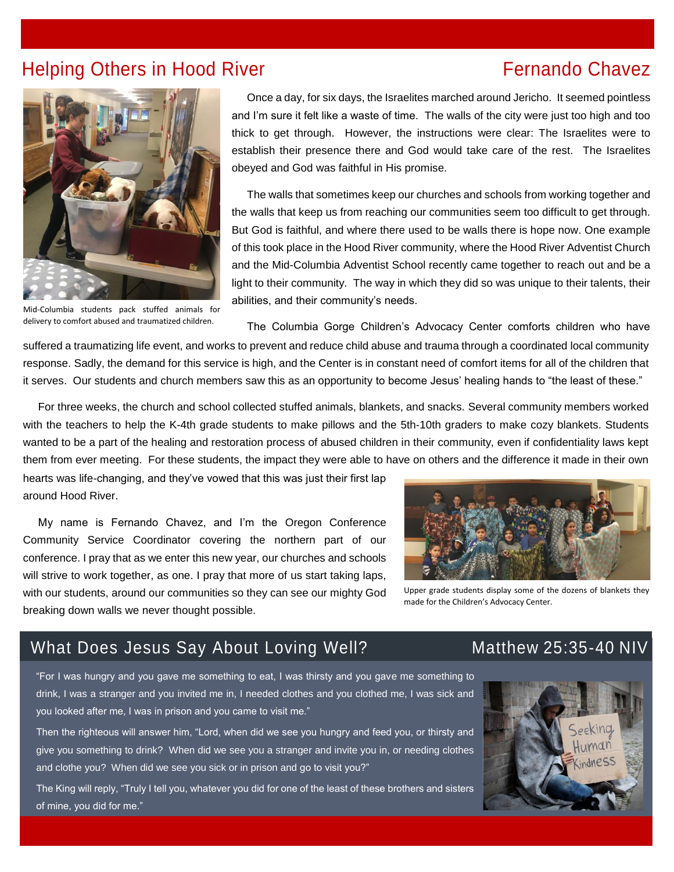## Helping Others in Hood River **Fernando Chavez Fernando Chavez**



 Once a day, for six days, the Israelites marched around Jericho. It seemed pointless and I'm sure it felt like a waste of time. The walls of the city were just too high and too thick to get through. However, the instructions were clear: The Israelites were to establish their presence there and God would take care of the rest. The Israelites obeyed and God was faithful in His promise.

 The walls that sometimes keep our churches and schools from working together and the walls that keep us from reaching our communities seem too difficult to get through. But God is faithful, and where there used to be walls there is hope now. One example of this took place in the Hood River community, where the Hood River Adventist Church and the Mid-Columbia Adventist School recently came together to reach out and be a light to their community. The way in which they did so was unique to their talents, their abilities, and their community's needs.

Mid-Columbia students pack stuffed animals for delivery to comfort abused and traumatized children.

The Columbia Gorge Children's Advocacy Center comforts children who have

suffered suffered a traumatizing life event, and works to prevent and reduce child abuse and trauma through a coordinated local community response. Sadly, the demand for this service is high, and the Center is in constant need of comfort items for all of the children that it serves. Our students and church members saw this as an opportunity to become Jesus' healing hands to "the least of these."

 For three weeks, the church and school collected stuffed animals, blankets, and snacks. Several community members worked with the teachers to help the K-4th grade students to make pillows and the 5th-10th graders to make cozy blankets. Students wanted to be a part of the healing and restoration process of abused children in their community, even if confidentiality laws kept them from ever meeting. For these students, the impact they were able to have on others and the difference it made in their own

hearts was life-changing, and they've vowed that this was just their first lap around Hood River.

 My name is Fernando Chavez, and I'm the Oregon Conference Community Service Coordinator covering the northern part of our conference. I pray that as we enter this new year, our churches and schools will strive to work together, as one. I pray that more of us start taking laps, with our students, around our communities so they can see our mighty God breaking down walls we never thought possible.



Upper grade students display some of the dozens of blankets they made for the Children's Advocacy Center.

## What Does Jesus Say About Loving Well? Matthew 25:35-40 NIV

"For I was hungry and you gave me something to eat, I was thirsty and you gave me something to drink, I was a stranger and you invited me in, I needed clothes and you clothed me, I was sick and you looked after me, I was in prison and you came to visit me."

Then the righteous will answer him, "Lord, when did we see you hungry and feed you, or thirsty and give you something to drink? When did we see you a stranger and invite you in, or needing clothes and clothe you? When did we see you sick or in prison and go to visit you?"

The King will reply, "Truly I tell you, whatever you did for one of the least of these brothers and sisters of mine, you did for me."